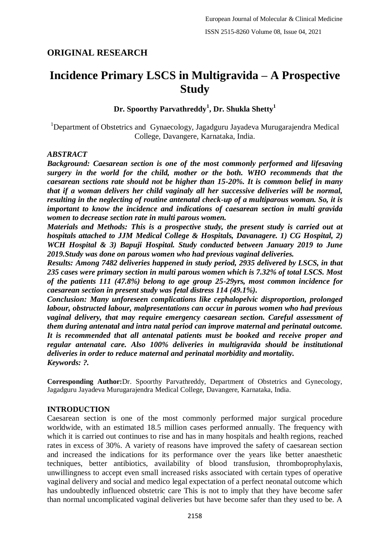## **ORIGINAL RESEARCH**

# **Incidence Primary LSCS in Multigravida – A Prospective Study**

## **Dr. Spoorthy Parvathreddy<sup>1</sup> , Dr. Shukla Shetty<sup>1</sup>**

<sup>1</sup>Department of Obstetrics and Gynaecology, Jagadguru Jayadeva Murugarajendra Medical College, Davangere, Karnataka, India.

## *ABSTRACT*

*Background: Caesarean section is one of the most commonly performed and lifesaving surgery in the world for the child, mother or the both. WHO recommends that the caesarean sections rate should not be higher than 15-20%. It is common belief in many that if a woman delivers her child vaginaly all her successive deliveries will be normal, resulting in the neglecting of routine antenatal check-up of a multiparous woman. So, it is important to know the incidence and indications of caesarean section in multi gravida women to decrease section rate in multi parous women.*

*Materials and Methods: This is a prospective study, the present study is carried out at hospitals attached to JJM Medical College & Hospitals, Davanagere. 1) CG Hospital, 2) WCH Hospital & 3) Bapuji Hospital. Study conducted between January 2019 to June 2019.Study was done on parous women who had previous vaginal deliveries.*

*Results: Among 7482 deliveries happened in study period, 2935 delivered by LSCS, in that 235 cases were primary section in multi parous women which is 7.32% of total LSCS. Most of the patients 111 (47.8%) belong to age group 25-29yrs, most common incidence for caesarean section in present study was fetal distress 114 (49.1%).* 

*Conclusion: Many unforeseen complications like cephalopelvic disproportion, prolonged labour, obstructed labour, malpresentations can occur in parous women who had previous vaginal delivery, that may require emergency caesarean section. Careful assessment of them during antenatal and intra natal period can improve maternal and perinatal outcome. It is recommended that all antenatal patients must be booked and receive proper and regular antenatal care. Also 100% deliveries in multigravida should be institutional deliveries in order to reduce maternal and perinatal morbidity and mortality. Keywords: ?.*

**Corresponding Author:**Dr. Spoorthy Parvathreddy, Department of Obstetrics and Gynecology, Jagadguru Jayadeva Murugarajendra Medical College, Davangere, Karnataka, India.

## **INTRODUCTION**

Caesarean section is one of the most commonly performed major surgical procedure worldwide, with an estimated 18.5 million cases performed annually. The frequency with which it is carried out continues to rise and has in many hospitals and health regions, reached rates in excess of 30%. A variety of reasons have improved the safety of caesarean section and increased the indications for its performance over the years like better anaesthetic techniques, better antibiotics, availability of blood transfusion, thromboprophylaxis, unwillingness to accept even small increased risks associated with certain types of operative vaginal delivery and social and medico legal expectation of a perfect neonatal outcome which has undoubtedly influenced obstetric care This is not to imply that they have become safer than normal uncomplicated vaginal deliveries but have become safer than they used to be. A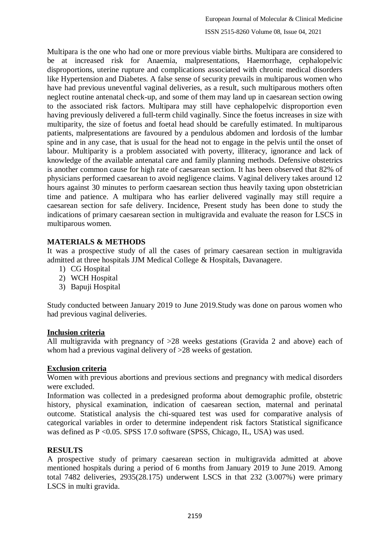Multipara is the one who had one or more previous viable births. Multipara are considered to be at increased risk for Anaemia, malpresentations, Haemorrhage, cephalopelvic disproportions, uterine rupture and complications associated with chronic medical disorders like Hypertension and Diabetes. A false sense of security prevails in multiparous women who have had previous uneventful vaginal deliveries, as a result, such multiparous mothers often neglect routine antenatal check-up, and some of them may land up in caesarean section owing to the associated risk factors. Multipara may still have cephalopelvic disproportion even having previously delivered a full-term child vaginally. Since the foetus increases in size with multiparity, the size of foetus and foetal head should be carefully estimated. In multiparous patients, malpresentations are favoured by a pendulous abdomen and lordosis of the lumbar spine and in any case, that is usual for the head not to engage in the pelvis until the onset of labour. Multiparity is a problem associated with poverty, illiteracy, ignorance and lack of knowledge of the available antenatal care and family planning methods. Defensive obstetrics is another common cause for high rate of caesarean section. It has been observed that 82% of physicians performed caesarean to avoid negligence claims. Vaginal delivery takes around 12 hours against 30 minutes to perform caesarean section thus heavily taxing upon obstetrician time and patience. A multipara who has earlier delivered vaginally may still require a caesarean section for safe delivery. Incidence, Present study has been done to study the indications of primary caesarean section in multigravida and evaluate the reason for LSCS in multiparous women.

## **MATERIALS & METHODS**

It was a prospective study of all the cases of primary caesarean section in multigravida admitted at three hospitals JJM Medical College & Hospitals, Davanagere.

- 1) CG Hospital
- 2) WCH Hospital
- 3) Bapuji Hospital

Study conducted between January 2019 to June 2019.Study was done on parous women who had previous vaginal deliveries.

## **Inclusion criteria**

All multigravida with pregnancy of >28 weeks gestations (Gravida 2 and above) each of whom had a previous vaginal delivery of  $>28$  weeks of gestation.

#### **Exclusion criteria**

Women with previous abortions and previous sections and pregnancy with medical disorders were excluded.

Information was collected in a predesigned proforma about demographic profile, obstetric history, physical examination, indication of caesarean section, maternal and perinatal outcome. Statistical analysis the chi-squared test was used for comparative analysis of categorical variables in order to determine independent risk factors Statistical significance was defined as P < 0.05. SPSS 17.0 software (SPSS, Chicago, IL, USA) was used.

## **RESULTS**

A prospective study of primary caesarean section in multigravida admitted at above mentioned hospitals during a period of 6 months from January 2019 to June 2019. Among total 7482 deliveries, 2935(28.175) underwent LSCS in that 232 (3.007%) were primary LSCS in multi gravida.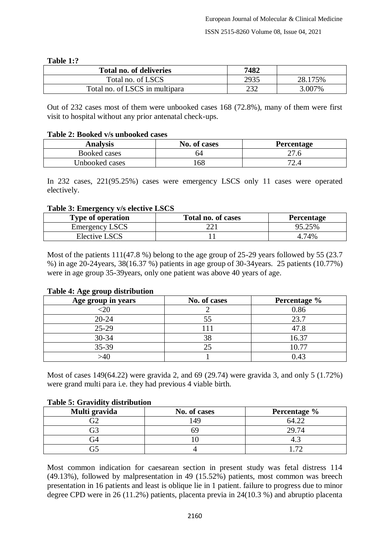#### **Table 1:?**

| <b>Total no. of deliveries</b> | 7482 |         |
|--------------------------------|------|---------|
| Total no. of LSCS              | 2935 | 28.175% |
| Total no. of LSCS in multipara | 232  | 3.007%  |

Out of 232 cases most of them were unbooked cases 168 (72.8%), many of them were first visit to hospital without any prior antenatal check-ups.

#### **Table 2: Booked v/s unbooked cases**

| <b>Analysis</b> | No. of cases | Percentage |
|-----------------|--------------|------------|
| Booked cases    | 64           |            |
| Unbooked cases  | 168          | 72.4       |

In 232 cases, 221(95.25%) cases were emergency LSCS only 11 cases were operated electively.

#### **Table 3: Emergency v/s elective LSCS**

| Type of operation     | Total no. of cases | Percentage |
|-----------------------|--------------------|------------|
| <b>Emergency LSCS</b> |                    | 95.25%     |
| Elective LSCS         |                    | 4.74%      |

Most of the patients 111(47.8 %) belong to the age group of 25-29 years followed by 55 (23.7) %) in age 20-24years, 38(16.37 %) patients in age group of 30-34years. 25 patients (10.77%) were in age group 35-39years, only one patient was above 40 years of age.

#### **Table 4: Age group distribution**

| Age group in years | No. of cases | Percentage % |
|--------------------|--------------|--------------|
|                    |              | 0.86         |
| $20 - 24$          | 55           | 23.7         |
| $25-29$            |              | 47.8         |
| 30-34              | 38           | 16.37        |
| 35-39              | 25           | 10.77        |
| -40                |              | 0.43         |

Most of cases 149(64.22) were gravida 2, and 69 (29.74) were gravida 3, and only 5 (1.72%) were grand multi para i.e. they had previous 4 viable birth.

#### **Table 5: Gravidity distribution**

| Multi gravida | No. of cases          | Percentage % |
|---------------|-----------------------|--------------|
|               | $\Delta$ <sup>O</sup> |              |
|               |                       |              |
| тΑ            |                       |              |
|               |                       |              |

Most common indication for caesarean section in present study was fetal distress 114 (49.13%), followed by malpresentation in 49 (15.52%) patients, most common was breech presentation in 16 patients and least is oblique lie in 1 patient. failure to progress due to minor degree CPD were in 26 (11.2%) patients, placenta previa in 24(10.3 %) and abruptio placenta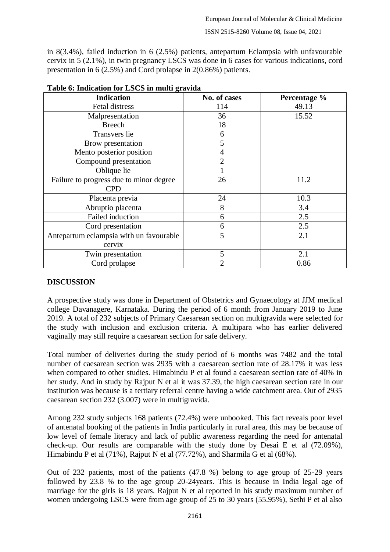in 8(3.4%), failed induction in 6 (2.5%) patients, antepartum Eclampsia with unfavourable cervix in 5 (2.1%), in twin pregnancy LSCS was done in 6 cases for various indications, cord presentation in 6 (2.5%) and Cord prolapse in 2(0.86%) patients.

| <b>Indication</b>                       | No. of cases   | Percentage % |
|-----------------------------------------|----------------|--------------|
| Fetal distress                          | 114            | 49.13        |
| Malpresentation                         | 36             | 15.52        |
| <b>Breech</b>                           | 18             |              |
| Transvers lie                           | 6              |              |
| Brow presentation                       | 5              |              |
| Mento posterior position                |                |              |
| Compound presentation                   | 2              |              |
| Oblique lie                             |                |              |
| Failure to progress due to minor degree | 26             | 11.2         |
| <b>CPD</b>                              |                |              |
| Placenta previa                         | 24             | 10.3         |
| Abruptio placenta                       | 8              | 3.4          |
| Failed induction                        | 6              | 2.5          |
| Cord presentation                       | 6              | 2.5          |
| Antepartum eclampsia with un favourable | 5              | 2.1          |
| cervix                                  |                |              |
| Twin presentation                       | 5              | 2.1          |
| Cord prolapse                           | $\overline{2}$ | 0.86         |

## **Table 6: Indication for LSCS in multi gravida**

## **DISCUSSION**

A prospective study was done in Department of Obstetrics and Gynaecology at JJM medical college Davanagere, Karnataka. During the period of 6 month from January 2019 to June 2019. A total of 232 subjects of Primary Caesarean section on multigravida were selected for the study with inclusion and exclusion criteria. A multipara who has earlier delivered vaginally may still require a caesarean section for safe delivery.

Total number of deliveries during the study period of 6 months was 7482 and the total number of caesarean section was 2935 with a caesarean section rate of 28.17% it was less when compared to other studies. Himabindu P et al found a caesarean section rate of 40% in her study. And in study by Rajput N et al it was 37.39, the high caesarean section rate in our institution was because is a tertiary referral centre having a wide catchment area. Out of 2935 caesarean section 232 (3.007) were in multigravida.

Among 232 study subjects 168 patients (72.4%) were unbooked. This fact reveals poor level of antenatal booking of the patients in India particularly in rural area, this may be because of low level of female literacy and lack of public awareness regarding the need for antenatal check-up. Our results are comparable with the study done by Desai E et al (72.09%), Himabindu P et al (71%), Rajput N et al (77.72%), and Sharmila G et al (68%).

Out of 232 patients, most of the patients (47.8 %) belong to age group of 25-29 years followed by 23.8 % to the age group 20-24years. This is because in India legal age of marriage for the girls is 18 years. Rajput N et al reported in his study maximum number of women undergoing LSCS were from age group of 25 to 30 years (55.95%), Sethi P et al also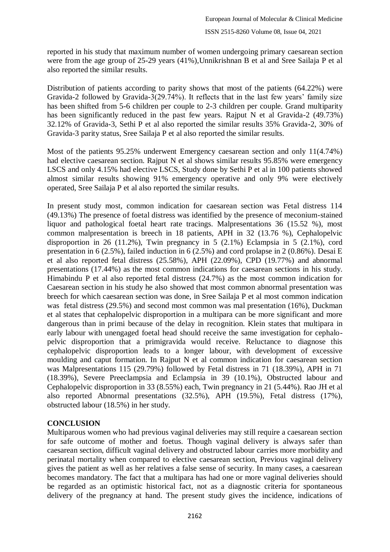reported in his study that maximum number of women undergoing primary caesarean section were from the age group of 25-29 years (41%),Unnikrishnan B et al and Sree Sailaja P et al also reported the similar results.

Distribution of patients according to parity shows that most of the patients (64.22%) were Gravida-2 followed by Gravida-3(29.74%). It reflects that in the last few years' family size has been shifted from 5-6 children per couple to 2-3 children per couple. Grand multiparity has been significantly reduced in the past few years. Rajput N et al Gravida-2 (49.73%) 32.12% of Gravida-3, Sethi P et al also reported the similar results 35% Gravida-2, 30% of Gravida-3 parity status, Sree Sailaja P et al also reported the similar results.

Most of the patients 95.25% underwent Emergency caesarean section and only 11(4.74%) had elective caesarean section. Rajput N et al shows similar results 95.85% were emergency LSCS and only 4.15% had elective LSCS, Study done by Sethi P et al in 100 patients showed almost similar results showing 91% emergency operative and only 9% were electively operated, Sree Sailaja P et al also reported the similar results.

In present study most, common indication for caesarean section was Fetal distress 114 (49.13%) The presence of foetal distress was identified by the presence of meconium-stained liquor and pathological foetal heart rate tracings. Malpresentations 36 (15.52 %), most common malpresentation is breech in 18 patients, APH in 32 (13.76 %), Cephalopelvic disproportion in 26 (11.2%), Twin pregnancy in 5 (2.1%) Eclampsia in 5 (2.1%), cord presentation in 6 (2.5%), failed induction in 6 (2.5%) and cord prolapse in 2 (0.86%). Desai E et al also reported fetal distress (25.58%), APH (22.09%), CPD (19.77%) and abnormal presentations (17.44%) as the most common indications for caesarean sections in his study. Himabindu P et al also reported fetal distress (24.7%) as the most common indication for Caesarean section in his study he also showed that most common abnormal presentation was breech for which caesarean section was done, in Sree Sailaja P et al most common indication was fetal distress (29.5%) and second most common was mal presentation (16%), Duckman et al states that cephalopelvic disproportion in a multipara can be more significant and more dangerous than in primi because of the delay in recognition. Klein states that multipara in early labour with unengaged foetal head should receive the same investigation for cephalopelvic disproportion that a primigravida would receive. Reluctance to diagnose this cephalopelvic disproportion leads to a longer labour, with development of excessive moulding and caput formation. In Rajput N et al common indication for caesarean section was Malpresentations 115 (29.79%) followed by Fetal distress in 71 (18.39%), APH in 71 (18.39%), Severe Preeclampsia and Eclampsia in 39 (10.1%), Obstructed labour and Cephalopelvic disproportion in 33 (8.55%) each, Twin pregnancy in 21 (5.44%). Rao JH et al also reported Abnormal presentations (32.5%), APH (19.5%), Fetal distress (17%), obstructed labour (18.5%) in her study.

## **CONCLUSION**

Multiparous women who had previous vaginal deliveries may still require a caesarean section for safe outcome of mother and foetus. Though vaginal delivery is always safer than caesarean section, difficult vaginal delivery and obstructed labour carries more morbidity and perinatal mortality when compared to elective caesarean section, Previous vaginal delivery gives the patient as well as her relatives a false sense of security. In many cases, a caesarean becomes mandatory. The fact that a multipara has had one or more vaginal deliveries should be regarded as an optimistic historical fact, not as a diagnostic criteria for spontaneous delivery of the pregnancy at hand. The present study gives the incidence, indications of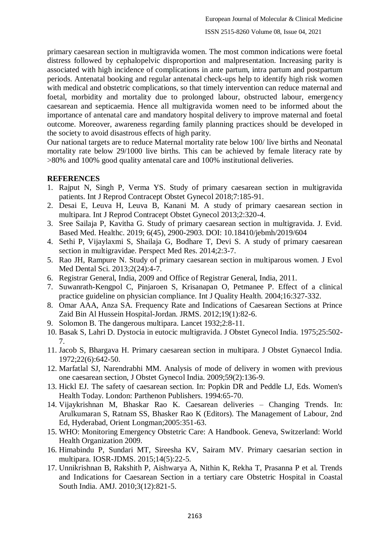primary caesarean section in multigravida women. The most common indications were foetal distress followed by cephalopelvic disproportion and malpresentation. Increasing parity is associated with high incidence of complications in ante partum, intra partum and postpartum periods. Antenatal booking and regular antenatal check-ups help to identify high risk women with medical and obstetric complications, so that timely intervention can reduce maternal and foetal, morbidity and mortality due to prolonged labour, obstructed labour, emergency caesarean and septicaemia. Hence all multigravida women need to be informed about the importance of antenatal care and mandatory hospital delivery to improve maternal and foetal outcome. Moreover, awareness regarding family planning practices should be developed in the society to avoid disastrous effects of high parity.

Our national targets are to reduce Maternal mortality rate below 100/ live births and Neonatal mortality rate below 29/1000 live births. This can be achieved by female literacy rate by >80% and 100% good quality antenatal care and 100% institutional deliveries.

## **REFERENCES**

- 1. Rajput N, Singh P, Verma YS. Study of primary caesarean section in multigravida patients. Int J Reprod Contracept Obstet Gynecol 2018;7:185-91.
- 2. Desai E, Leuva H, Leuva B, Kanani M. A study of primary caesarean section in multipara. Int J Reprod Contracept Obstet Gynecol 2013;2:320-4.
- 3. Sree Sailaja P, Kavitha G. Study of primary caesarean section in multigravida. J. Evid. Based Med. Healthc. 2019; 6(45), 2900-2903. DOI: 10.18410/jebmh/2019/604
- 4. Sethi P, Vijaylaxmi S, Shailaja G, Bodhare T, Devi S. A study of primary caesarean section in multigravidae. Perspect Med Res. 2014;2:3-7.
- 5. Rao JH, Rampure N. Study of primary caesarean section in multiparous women. J Evol Med Dental Sci. 2013;2(24):4-7.
- 6. Registrar General, India, 2009 and Office of Registrar General, India, 2011.
- 7. Suwanrath-Kengpol C, Pinjaroen S, Krisanapan O, Petmanee P. Effect of a clinical practice guideline on physician compliance. Int J Quality Health. 2004;16:327-332.
- 8. Omar AAA, Anza SA. Frequency Rate and Indications of Caesarean Sections at Prince Zaid Bin Al Hussein Hospital-Jordan. JRMS. 2012;19(1):82-6.
- 9. Solomon B. The dangerous multipara. Lancet 1932;2:8-11.
- 10. Basak S, Lahri D. Dystocia in eutocic multigravida. J Obstet Gynecol India. 1975;25:502- 7.
- 11. Jacob S, Bhargava H. Primary caesarean section in multipara. J Obstet Gynaecol India. 1972;22(6):642-50.
- 12. Marfatlal SJ, Narendrabhi MM. Analysis of mode of delivery in women with previous one caesarean section, J Obstet Gynecol India. 2009;59(2):136-9.
- 13. Hickl EJ. The safety of caesarean section. In: Popkin DR and Peddle LJ, Eds. Women's Health Today. London: Parthenon Publishers. 1994:65-70.
- 14. Vijaykrishnan M, Bhaskar Rao K. Caesarean deliveries Changing Trends. In: Arulkumaran S, Ratnam SS, Bhasker Rao K (Editors). The Management of Labour, 2nd Ed, Hyderabad, Orient Longman;2005:351-63.
- 15. WHO: Monitoring Emergency Obstetric Care: A Handbook. Geneva, Switzerland: World Health Organization 2009.
- 16. Himabindu P, Sundari MT, Sireesha KV, Sairam MV. Primary caesarian section in multipara. IOSR-JDMS. 2015;14(5):22-5.
- 17. Unnikrishnan B, Rakshith P, Aishwarya A, Nithin K, Rekha T, Prasanna P et al. Trends and Indications for Caesarean Section in a tertiary care Obstetric Hospital in Coastal South India. AMJ. 2010;3(12):821-5.